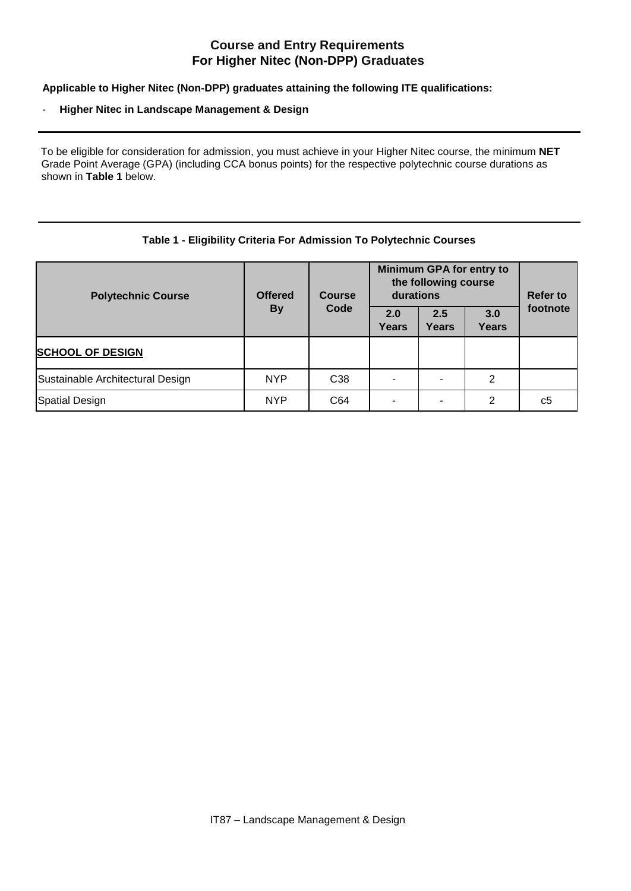## **Course and Entry Requirements For Higher Nitec (Non-DPP) Graduates**

**Applicable to Higher Nitec (Non-DPP) graduates attaining the following ITE qualifications:** 

## - **Higher Nitec in Landscape Management & Design**

To be eligible for consideration for admission, you must achieve in your Higher Nitec course, the minimum **NET**  Grade Point Average (GPA) (including CCA bonus points) for the respective polytechnic course durations as shown in **Table 1** below.

## **Table 1 - Eligibility Criteria For Admission To Polytechnic Courses**

| <b>Polytechnic Course</b>        | <b>Offered</b><br><b>By</b> | <b>Course</b><br>Code | Minimum GPA for entry to<br>the following course<br>durations |                     |                     | <b>Refer to</b> |
|----------------------------------|-----------------------------|-----------------------|---------------------------------------------------------------|---------------------|---------------------|-----------------|
|                                  |                             |                       | 2.0<br>Years                                                  | 2.5<br><b>Years</b> | 3.0<br><b>Years</b> | footnote        |
| <b>SCHOOL OF DESIGN</b>          |                             |                       |                                                               |                     |                     |                 |
| Sustainable Architectural Design | <b>NYP</b>                  | C <sub>38</sub>       |                                                               |                     | 2                   |                 |
| Spatial Design                   | <b>NYP</b>                  | C64                   |                                                               |                     | 2                   | c5              |